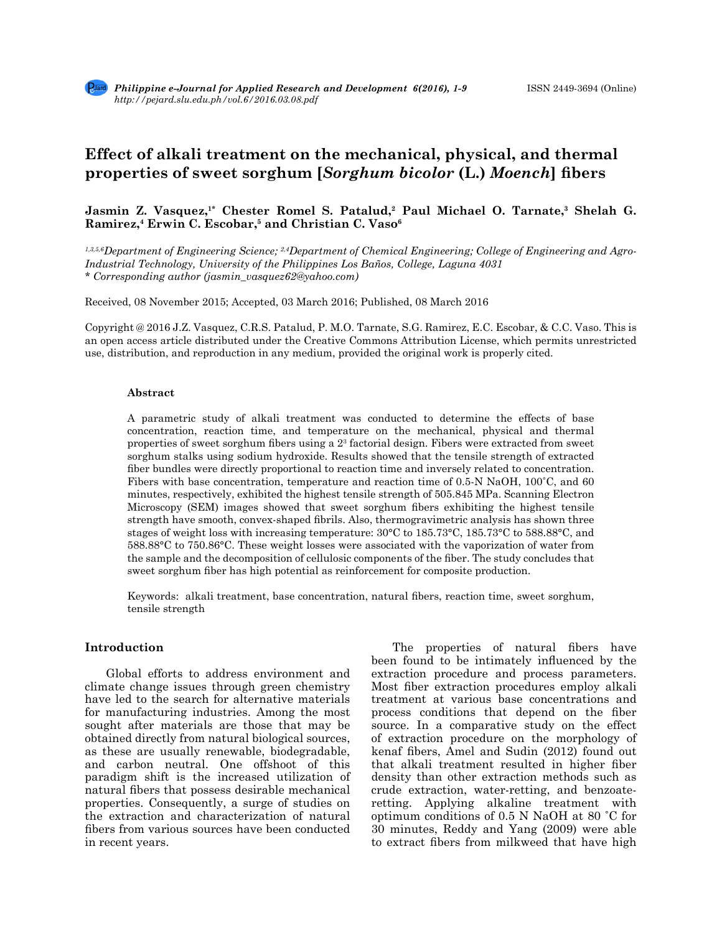# **Effect of alkali treatment on the mechanical, physical, and thermal properties of sweet sorghum [***Sorghum bicolor* **(L.)** *Moench***] fibers**

# **Jasmin Z. Vasquez,<sup>1\*</sup> Chester Romel S. Patalud,<sup>2</sup> Paul Michael O. Tarnate,<sup>3</sup> Shelah G. Ramirez,4 Erwin C. Escobar,5 and Christian C. Vaso6**

*1,3,5,6Department of Engineering Science; 2,4Department of Chemical Engineering; College of Engineering and Agro-Industrial Technology, University of the Philippines Los Baños, College, Laguna 4031 \* Corresponding author (jasmin\_vasquez62@yahoo.com)*

Received, 08 November 2015; Accepted, 03 March 2016; Published, 08 March 2016

Copyright @ 2016 J.Z. Vasquez, C.R.S. Patalud, P. M.O. Tarnate, S.G. Ramirez, E.C. Escobar, & C.C. Vaso. This is an open access article distributed under the Creative Commons Attribution License, which permits unrestricted use, distribution, and reproduction in any medium, provided the original work is properly cited.

#### **Abstract**

A parametric study of alkali treatment was conducted to determine the effects of base concentration, reaction time, and temperature on the mechanical, physical and thermal properties of sweet sorghum fibers using a 2<sup>3</sup> factorial design. Fibers were extracted from sweet sorghum stalks using sodium hydroxide. Results showed that the tensile strength of extracted fiber bundles were directly proportional to reaction time and inversely related to concentration. Fibers with base concentration, temperature and reaction time of 0.5-N NaOH, 100˚C, and 60 minutes, respectively, exhibited the highest tensile strength of 505.845 MPa. Scanning Electron Microscopy (SEM) images showed that sweet sorghum fibers exhibiting the highest tensile strength have smooth, convex-shaped fibrils. Also, thermogravimetric analysis has shown three stages of weight loss with increasing temperature: 30°C to 185.73°C, 185.73°C to 588.88°C, and 588.88°C to 750.86°C. These weight losses were associated with the vaporization of water from the sample and the decomposition of cellulosic components of the fiber. The study concludes that sweet sorghum fiber has high potential as reinforcement for composite production.

Keywords: alkali treatment, base concentration, natural fibers, reaction time, sweet sorghum, tensile strength

# **Introduction**

Global efforts to address environment and climate change issues through green chemistry have led to the search for alternative materials for manufacturing industries. Among the most sought after materials are those that may be obtained directly from natural biological sources, as these are usually renewable, biodegradable, and carbon neutral. One offshoot of this paradigm shift is the increased utilization of natural fibers that possess desirable mechanical properties. Consequently, a surge of studies on the extraction and characterization of natural fibers from various sources have been conducted in recent years.

The properties of natural fibers have been found to be intimately influenced by the extraction procedure and process parameters. Most fiber extraction procedures employ alkali treatment at various base concentrations and process conditions that depend on the fiber source. In a comparative study on the effect of extraction procedure on the morphology of kenaf fibers, Amel and Sudin (2012) found out that alkali treatment resulted in higher fiber density than other extraction methods such as crude extraction, water-retting, and benzoateretting. Applying alkaline treatment with optimum conditions of 0.5 N NaOH at 80 ˚C for 30 minutes, Reddy and Yang (2009) were able to extract fibers from milkweed that have high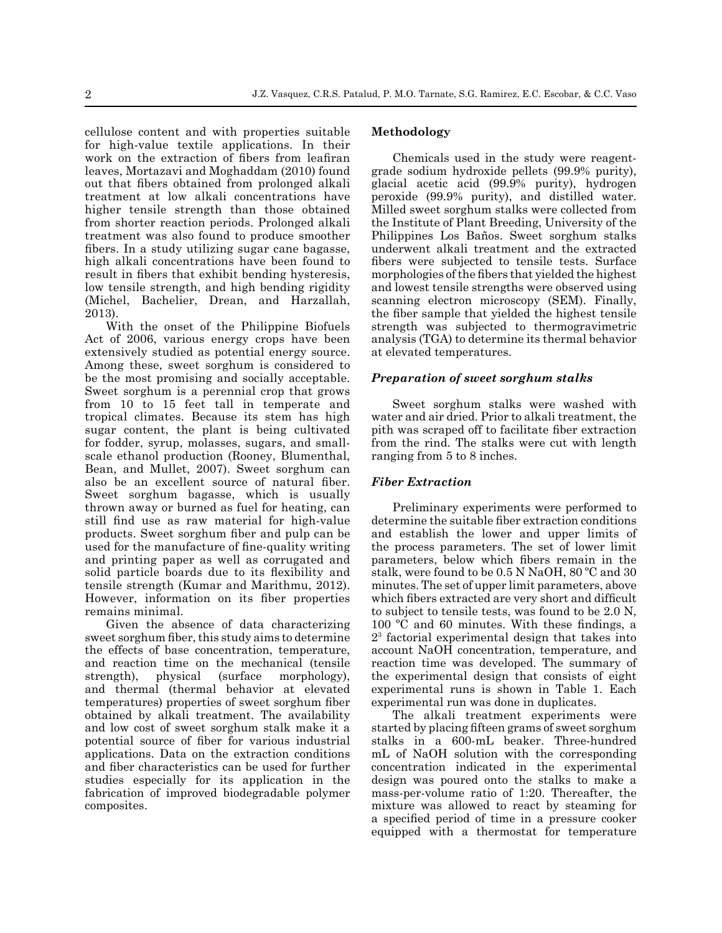cellulose content and with properties suitable for high-value textile applications. In their work on the extraction of fibers from leafiran leaves, Mortazavi and Moghaddam (2010) found out that fibers obtained from prolonged alkali treatment at low alkali concentrations have higher tensile strength than those obtained from shorter reaction periods. Prolonged alkali treatment was also found to produce smoother fibers. In a study utilizing sugar cane bagasse, high alkali concentrations have been found to result in fibers that exhibit bending hysteresis, low tensile strength, and high bending rigidity (Michel, Bachelier, Drean, and Harzallah, 2013).

With the onset of the Philippine Biofuels Act of 2006, various energy crops have been extensively studied as potential energy source. Among these, sweet sorghum is considered to be the most promising and socially acceptable. Sweet sorghum is a perennial crop that grows from 10 to 15 feet tall in temperate and tropical climates. Because its stem has high sugar content, the plant is being cultivated for fodder, syrup, molasses, sugars, and smallscale ethanol production (Rooney, Blumenthal, Bean, and Mullet, 2007). Sweet sorghum can also be an excellent source of natural fiber. Sweet sorghum bagasse, which is usually thrown away or burned as fuel for heating, can still find use as raw material for high-value products. Sweet sorghum fiber and pulp can be used for the manufacture of fine-quality writing and printing paper as well as corrugated and solid particle boards due to its flexibility and tensile strength (Kumar and Marithmu, 2012). However, information on its fiber properties remains minimal.

Given the absence of data characterizing sweet sorghum fiber, this study aims to determine the effects of base concentration, temperature, and reaction time on the mechanical (tensile strength), physical (surface morphology), and thermal (thermal behavior at elevated temperatures) properties of sweet sorghum fiber obtained by alkali treatment. The availability and low cost of sweet sorghum stalk make it a potential source of fiber for various industrial applications. Data on the extraction conditions and fiber characteristics can be used for further studies especially for its application in the fabrication of improved biodegradable polymer composites.

# **Methodology**

Chemicals used in the study were reagentgrade sodium hydroxide pellets (99.9% purity), glacial acetic acid (99.9% purity), hydrogen peroxide (99.9% purity), and distilled water. Milled sweet sorghum stalks were collected from the Institute of Plant Breeding, University of the Philippines Los Baños. Sweet sorghum stalks underwent alkali treatment and the extracted fibers were subjected to tensile tests. Surface morphologies of the fibers that yielded the highest and lowest tensile strengths were observed using scanning electron microscopy (SEM). Finally, the fiber sample that yielded the highest tensile strength was subjected to thermogravimetric analysis (TGA) to determine its thermal behavior at elevated temperatures.

#### *Preparation of sweet sorghum stalks*

Sweet sorghum stalks were washed with water and air dried. Prior to alkali treatment, the pith was scraped off to facilitate fiber extraction from the rind. The stalks were cut with length ranging from 5 to 8 inches.

#### *Fiber Extraction*

Preliminary experiments were performed to determine the suitable fiber extraction conditions and establish the lower and upper limits of the process parameters. The set of lower limit parameters, below which fibers remain in the stalk, were found to be 0.5 N NaOH, 80 ºC and 30 minutes. The set of upper limit parameters, above which fibers extracted are very short and difficult to subject to tensile tests, was found to be 2.0 N, 100 ºC and 60 minutes. With these findings, a 23 factorial experimental design that takes into account NaOH concentration, temperature, and reaction time was developed. The summary of the experimental design that consists of eight experimental runs is shown in Table 1. Each experimental run was done in duplicates.

The alkali treatment experiments were started by placing fifteen grams of sweet sorghum stalks in a 600-mL beaker. Three-hundred mL of NaOH solution with the corresponding concentration indicated in the experimental design was poured onto the stalks to make a mass-per-volume ratio of 1:20. Thereafter, the mixture was allowed to react by steaming for a specified period of time in a pressure cooker equipped with a thermostat for temperature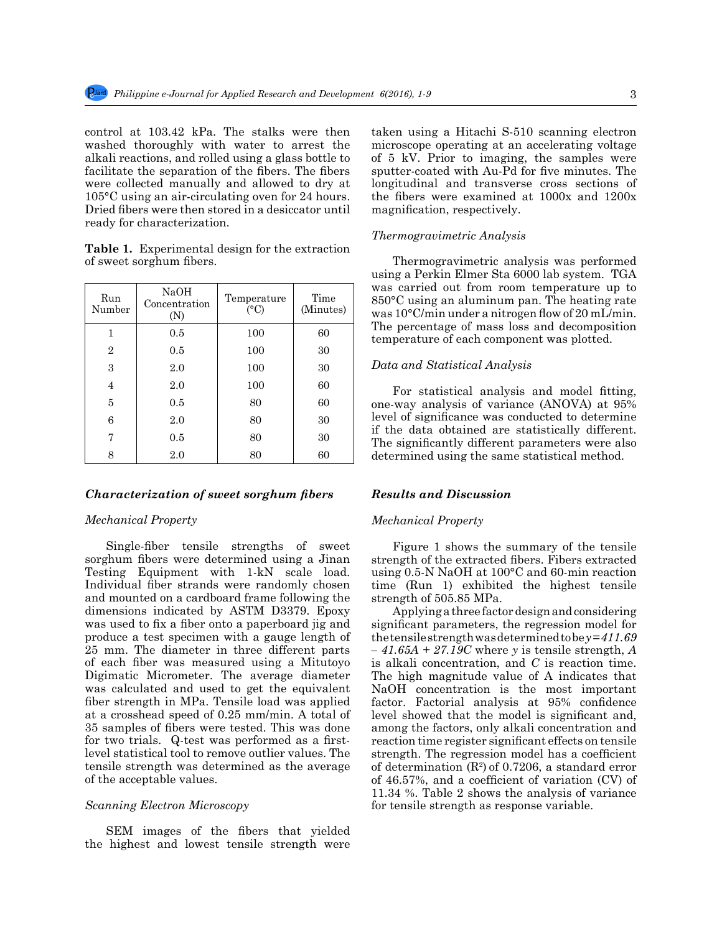control at 103.42 kPa. The stalks were then washed thoroughly with water to arrest the alkali reactions, and rolled using a glass bottle to facilitate the separation of the fibers. The fibers were collected manually and allowed to dry at 105°C using an air-circulating oven for 24 hours. Dried fibers were then stored in a desiccator until ready for characterization.

**Table 1.** Experimental design for the extraction of sweet sorghum fibers.

| Run<br>Number  | NaOH<br>Concentration<br>(N) | Temperature<br>(°C) | Time<br>(Minutes) |
|----------------|------------------------------|---------------------|-------------------|
| 1              | 0.5                          | 100                 | 60                |
| $\overline{2}$ | 0.5                          | 100                 | 30                |
| 3              | 2.0                          | 100                 | 30                |
| 4              | 2.0                          | 100                 | 60                |
| 5              | 0.5                          | 80                  | 60                |
| 6              | 2.0                          | 80                  | 30                |
| 7              | 0.5                          | 80                  | 30                |
| 8              | 2.0                          | 80                  | 60                |

#### *Characterization of sweet sorghum fibers*

#### *Mechanical Property*

Single-fiber tensile strengths of sweet sorghum fibers were determined using a Jinan Testing Equipment with 1-kN scale load. Individual fiber strands were randomly chosen and mounted on a cardboard frame following the dimensions indicated by ASTM D3379. Epoxy was used to fix a fiber onto a paperboard jig and produce a test specimen with a gauge length of 25 mm. The diameter in three different parts of each fiber was measured using a Mitutoyo Digimatic Micrometer. The average diameter was calculated and used to get the equivalent fiber strength in MPa. Tensile load was applied at a crosshead speed of 0.25 mm/min. A total of 35 samples of fibers were tested. This was done for two trials. Q-test was performed as a firstlevel statistical tool to remove outlier values. The tensile strength was determined as the average of the acceptable values.

## *Scanning Electron Microscopy*

SEM images of the fibers that yielded the highest and lowest tensile strength were taken using a Hitachi S-510 scanning electron microscope operating at an accelerating voltage of 5 kV. Prior to imaging, the samples were sputter-coated with Au-Pd for five minutes. The longitudinal and transverse cross sections of the fibers were examined at 1000x and 1200x magnification, respectively.

#### *Thermogravimetric Analysis*

Thermogravimetric analysis was performed using a Perkin Elmer Sta 6000 lab system. TGA was carried out from room temperature up to 850°C using an aluminum pan. The heating rate was 10°C/min under a nitrogen flow of 20 mL/min. The percentage of mass loss and decomposition temperature of each component was plotted.

## *Data and Statistical Analysis*

For statistical analysis and model fitting, one-way analysis of variance (ANOVA) at 95% level of significance was conducted to determine if the data obtained are statistically different. The significantly different parameters were also determined using the same statistical method.

#### *Results and Discussion*

# *Mechanical Property*

Figure 1 shows the summary of the tensile strength of the extracted fibers. Fibers extracted using 0.5-N NaOH at 100°C and 60-min reaction time (Run 1) exhibited the highest tensile strength of 505.85 MPa.

Applying a three factor design and considering significant parameters, the regression model for the tensile strength was determined to be *y = 411.69 – 41.65A + 27.19C* where *y* is tensile strength, *A* is alkali concentration, and *C* is reaction time. The high magnitude value of A indicates that NaOH concentration is the most important factor. Factorial analysis at 95% confidence level showed that the model is significant and, among the factors, only alkali concentration and reaction time register significant effects on tensile strength. The regression model has a coefficient of determination  $(R^2)$  of 0.7206, a standard error of 46.57%, and a coefficient of variation (CV) of 11.34 %. Table 2 shows the analysis of variance for tensile strength as response variable.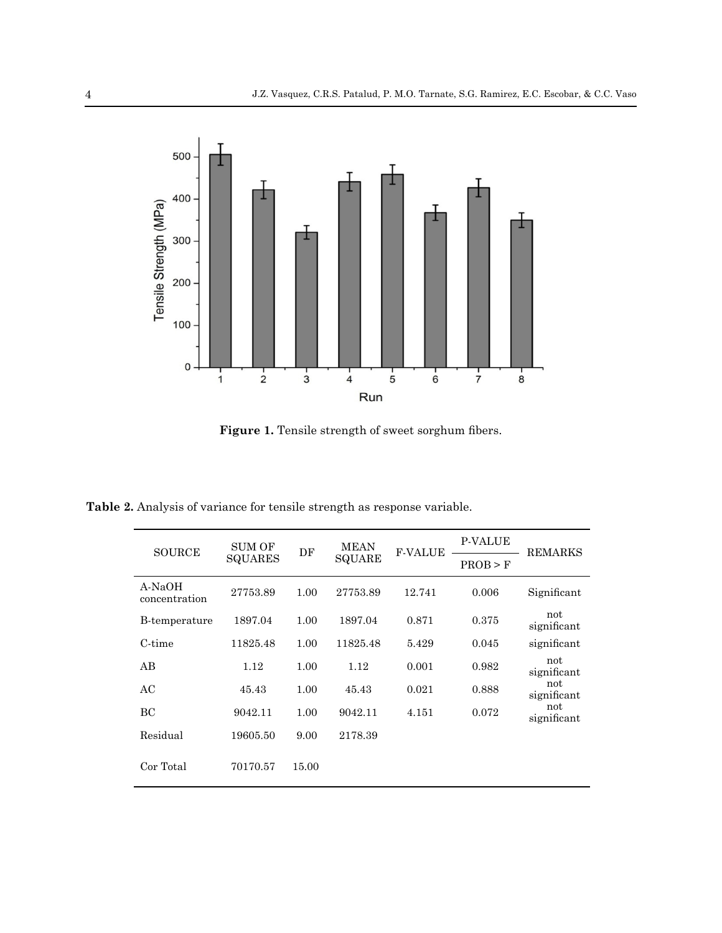

**Figure 1.** Tensile strength of sweet sorghum fibers.

**Table 2.** Analysis of variance for tensile strength as response variable.

| <b>SOURCE</b>           | <b>SUM OF</b><br><b>SQUARES</b> | DF    | <b>MEAN</b><br>SQUARE | <b>F-VALUE</b> | <b>P-VALUE</b> | <b>REMARKS</b>     |
|-------------------------|---------------------------------|-------|-----------------------|----------------|----------------|--------------------|
|                         |                                 |       |                       |                | PROB > F       |                    |
| A-NaOH<br>concentration | 27753.89                        | 1.00  | 27753.89              | 12.741         | 0.006          | Significant        |
| B-temperature           | 1897.04                         | 1.00  | 1897.04               | 0.871          | 0.375          | not<br>significant |
| C-time                  | 11825.48                        | 1.00  | 11825.48              | 5.429          | 0.045          | significant        |
| AB                      | 1.12                            | 1.00  | 1.12                  | 0.001          | 0.982          | not<br>significant |
| AC                      | 45.43                           | 1.00  | 45.43                 | 0.021          | 0.888          | not<br>significant |
| BC                      | 9042.11                         | 1.00  | 9042.11               | 4.151          | 0.072          | not<br>significant |
| Residual                | 19605.50                        | 9.00  | 2178.39               |                |                |                    |
| Cor Total               | 70170.57                        | 15.00 |                       |                |                |                    |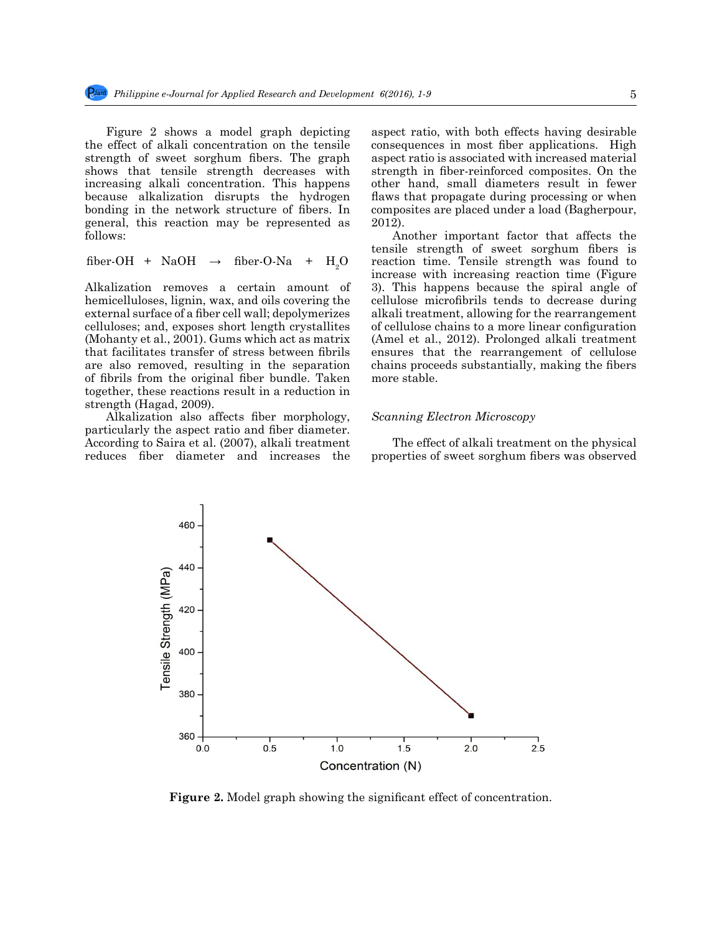Figure 2 shows a model graph depicting the effect of alkali concentration on the tensile strength of sweet sorghum fibers. The graph shows that tensile strength decreases with increasing alkali concentration. This happens because alkalization disrupts the hydrogen bonding in the network structure of fibers. In general, this reaction may be represented as follows:

fiber-OH + NaOH 
$$
\rightarrow
$$
 fiber-O-Na + H<sub>2</sub>O

Alkalization removes a certain amount of hemicelluloses, lignin, wax, and oils covering the external surface of a fiber cell wall; depolymerizes celluloses; and, exposes short length crystallites (Mohanty et al., 2001). Gums which act as matrix that facilitates transfer of stress between fibrils are also removed, resulting in the separation of fibrils from the original fiber bundle. Taken together, these reactions result in a reduction in strength (Hagad, 2009).

Alkalization also affects fiber morphology, particularly the aspect ratio and fiber diameter. According to Saira et al. (2007), alkali treatment reduces fiber diameter and increases the aspect ratio, with both effects having desirable consequences in most fiber applications. High aspect ratio is associated with increased material strength in fiber-reinforced composites. On the other hand, small diameters result in fewer flaws that propagate during processing or when composites are placed under a load (Bagherpour, 2012).

Another important factor that affects the tensile strength of sweet sorghum fibers is reaction time. Tensile strength was found to increase with increasing reaction time (Figure 3). This happens because the spiral angle of cellulose microfibrils tends to decrease during alkali treatment, allowing for the rearrangement of cellulose chains to a more linear configuration (Amel et al., 2012). Prolonged alkali treatment ensures that the rearrangement of cellulose chains proceeds substantially, making the fibers more stable.

## *Scanning Electron Microscopy*

The effect of alkali treatment on the physical properties of sweet sorghum fibers was observed



**Figure 2.** Model graph showing the significant effect of concentration.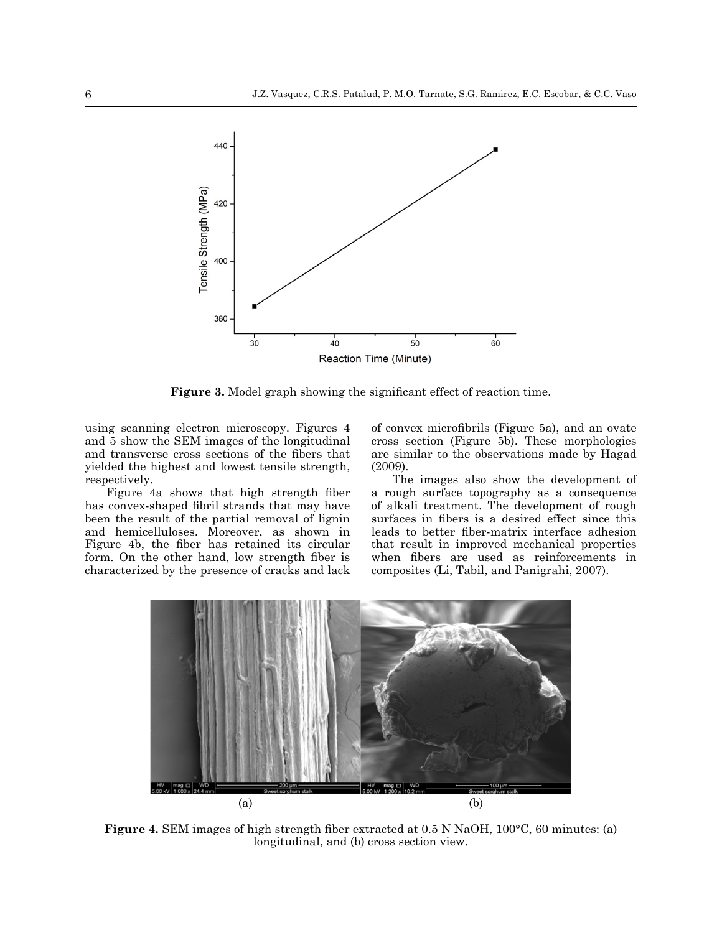

**Figure 3.** Model graph showing the significant effect of reaction time.

using scanning electron microscopy. Figures 4 and 5 show the SEM images of the longitudinal and transverse cross sections of the fibers that yielded the highest and lowest tensile strength, respectively.

Figure 4a shows that high strength fiber has convex-shaped fibril strands that may have been the result of the partial removal of lignin and hemicelluloses. Moreover, as shown in Figure 4b, the fiber has retained its circular form. On the other hand, low strength fiber is characterized by the presence of cracks and lack of convex microfibrils (Figure 5a), and an ovate cross section (Figure 5b). These morphologies are similar to the observations made by Hagad (2009).

The images also show the development of a rough surface topography as a consequence of alkali treatment. The development of rough surfaces in fibers is a desired effect since this leads to better fiber-matrix interface adhesion that result in improved mechanical properties when fibers are used as reinforcements in composites (Li, Tabil, and Panigrahi, 2007).



**Figure 4.** SEM images of high strength fiber extracted at 0.5 N NaOH, 100°C, 60 minutes: (a) longitudinal, and (b) cross section view.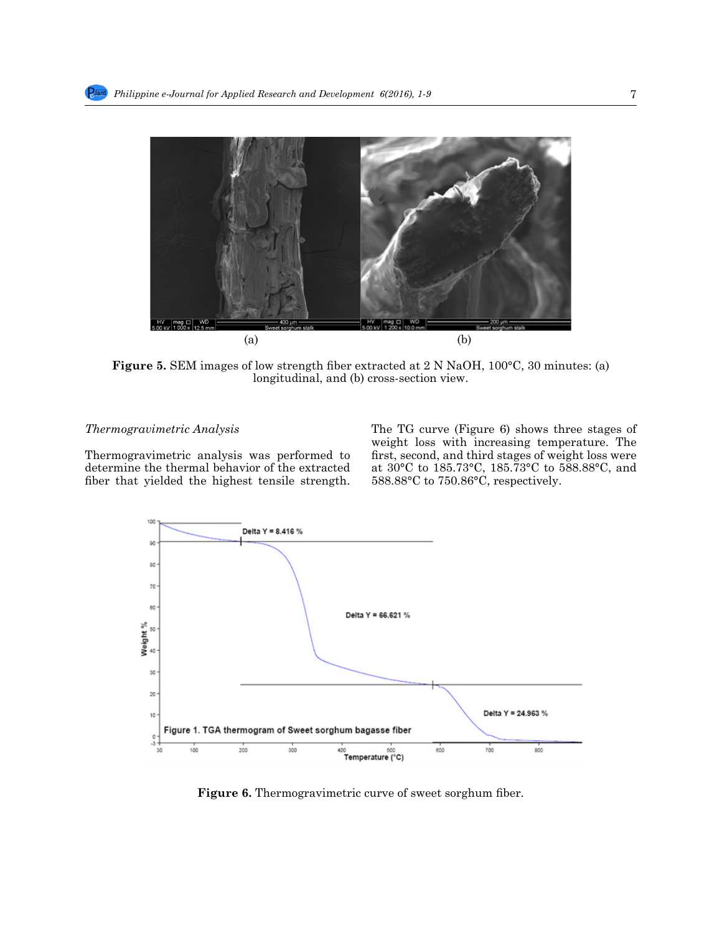

**Figure 5.** SEM images of low strength fiber extracted at 2 N NaOH, 100°C, 30 minutes: (a) longitudinal, and (b) cross-section view.

# *Thermogravimetric Analysis*

Thermogravimetric analysis was performed to determine the thermal behavior of the extracted fiber that yielded the highest tensile strength.

The TG curve (Figure 6) shows three stages of weight loss with increasing temperature. The first, second, and third stages of weight loss were at 30°C to 185.73°C, 185.73°C to 588.88°C, and 588.88°C to 750.86°C, respectively.



**Figure 6.** Thermogravimetric curve of sweet sorghum fiber.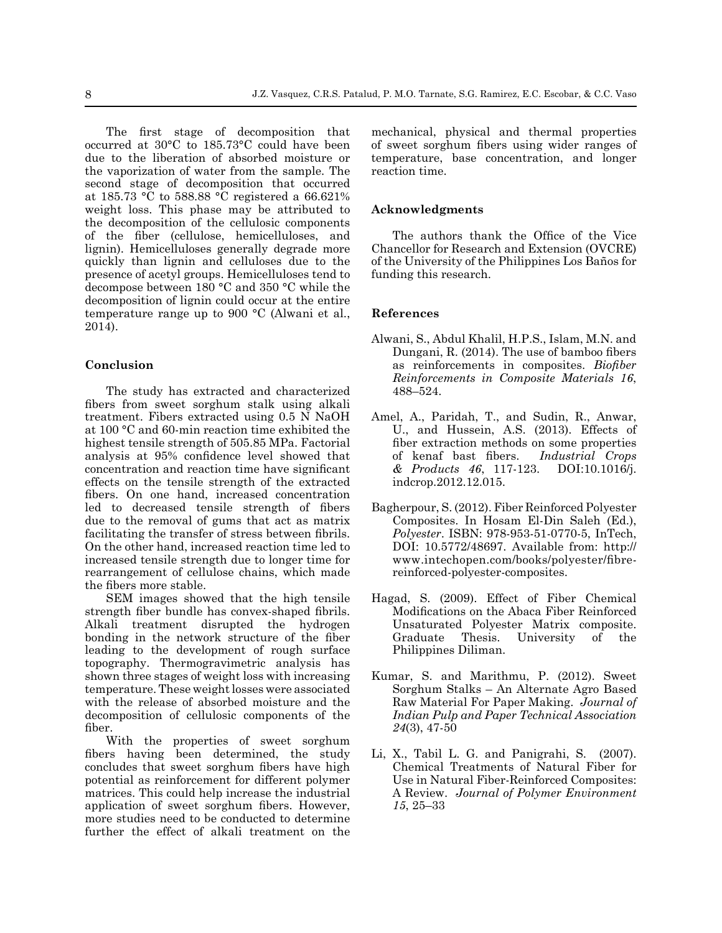The first stage of decomposition that occurred at 30°C to 185.73°C could have been due to the liberation of absorbed moisture or the vaporization of water from the sample. The second stage of decomposition that occurred at 185.73 °C to 588.88 °C registered a 66.621% weight loss. This phase may be attributed to the decomposition of the cellulosic components of the fiber (cellulose, hemicelluloses, and lignin). Hemicelluloses generally degrade more quickly than lignin and celluloses due to the presence of acetyl groups. Hemicelluloses tend to decompose between 180 °C and 350 °C while the decomposition of lignin could occur at the entire temperature range up to 900 °C (Alwani et al., 2014).

# **Conclusion**

The study has extracted and characterized fibers from sweet sorghum stalk using alkali treatment. Fibers extracted using 0.5 N NaOH at 100 °C and 60-min reaction time exhibited the highest tensile strength of 505.85 MPa. Factorial analysis at 95% confidence level showed that concentration and reaction time have significant effects on the tensile strength of the extracted fibers. On one hand, increased concentration led to decreased tensile strength of fibers due to the removal of gums that act as matrix facilitating the transfer of stress between fibrils. On the other hand, increased reaction time led to increased tensile strength due to longer time for rearrangement of cellulose chains, which made the fibers more stable.

SEM images showed that the high tensile strength fiber bundle has convex-shaped fibrils. Alkali treatment disrupted the hydrogen bonding in the network structure of the fiber leading to the development of rough surface topography. Thermogravimetric analysis has shown three stages of weight loss with increasing temperature. These weight losses were associated with the release of absorbed moisture and the decomposition of cellulosic components of the fiber.

With the properties of sweet sorghum fibers having been determined, the study concludes that sweet sorghum fibers have high potential as reinforcement for different polymer matrices. This could help increase the industrial application of sweet sorghum fibers. However, more studies need to be conducted to determine further the effect of alkali treatment on the mechanical, physical and thermal properties of sweet sorghum fibers using wider ranges of temperature, base concentration, and longer reaction time.

#### **Acknowledgments**

The authors thank the Office of the Vice Chancellor for Research and Extension (OVCRE) of the University of the Philippines Los Baños for funding this research.

#### **References**

- Alwani, S., Abdul Khalil, H.P.S., Islam, M.N. and Dungani, R. (2014). The use of bamboo fibers as reinforcements in composites. *Biofiber Reinforcements in Composite Materials 16*, 488–524.
- Amel, A., Paridah, T., and Sudin, R., Anwar, U., and Hussein, A.S. (2013). Effects of fiber extraction methods on some properties of kenaf bast fibers. *Industrial Crops & Products 46*, 117-123. DOI:10.1016/j. indcrop.2012.12.015.
- Bagherpour, S. (2012). Fiber Reinforced Polyester Composites. In Hosam El-Din Saleh (Ed.), *Polyester*. ISBN: 978-953-51-0770-5, InTech, DOI: 10.5772/48697. Available from: http:// www.intechopen.com/books/polyester/fibrereinforced-polyester-composites.
- Hagad, S. (2009). Effect of Fiber Chemical Modifications on the Abaca Fiber Reinforced Unsaturated Polyester Matrix composite. Graduate Thesis. University of the Philippines Diliman.
- Kumar, S. and Marithmu, P. (2012). Sweet Sorghum Stalks – An Alternate Agro Based Raw Material For Paper Making. *Journal of Indian Pulp and Paper Technical Association 24*(3), 47-50
- Li, X., Tabil L. G. and Panigrahi, S. (2007). Chemical Treatments of Natural Fiber for Use in Natural Fiber-Reinforced Composites: A Review. *Journal of Polymer Environment 15*, 25–33